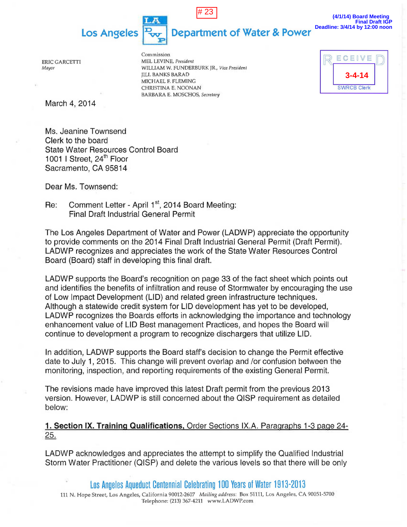# 23

**Department of Water & Power** 

**(4/1/14) Board Meeting Final Draft IGP Deadline: 3/4/14 by 12:00 noon**

ERIC GARCETTI *Mayor* 

Commission MEL LEVINE, *President*  WILLIAM W. FUNDERBURK JR., *Vice President*  JILL BANKS BARAD MICHAEL F. FLEMING CHRISTINA E. NOONAN BARBARA E. MOSCHOS, *Secretary* 

| $C \nE$<br>F       |  |
|--------------------|--|
| 4-14               |  |
| <b>SWRCB Clerk</b> |  |

March 4, 2014

Ms. Jeanine Townsend Clerk to the board State Water Resources Control Board 1001 I Street, 24<sup>th</sup> Floor Sacramento, CA 95814

**Los Angeles** 

I  $\frac{1}{2}$ E

Dear Ms. Townsend:

Re: Comment Letter - April 1<sup>st</sup>, 2014 Board Meeting: Final Draft Industrial General Permit

The Los Angeles Department of Water and Power (LADWP) appreciate the opportunity to provide comments on the 2014 Final Draft Industrial General Permit (Draft Permit). LADWP recognizes and appreciates the work of the State Water Resources Control Board (Board) staff in developing this final draft.

LADWP supports the Board's recognition on page 33 of the fact sheet which points out and identifies the benefits of infiltration and reuse of Stormwater by encouraging the use of Low Impact Development (LID) and related green infrastructure techniques. Although a statewide credit system for LID development has yet to be developed, LADWP recognizes the Boards efforts in acknowledging the importance and technology enhancement value of LID Best management Practices, and hopes the Board will continue to development a program to recognize dischargers that utilize LID.

In addition, LADWP supports the Board staff's decision to change the Permit effective date to July 1, 2015. This change will prevent overlap and /or confusion between the monitoring, inspection, and reporting requirements of the existing General Permit.

The revisions made have improved this latest Draft permit from the previous 2013 version. However, LADWP is still concerned about the QISP requirement as detailed below:

1. Section IX. Training Qualifications, Order Sections IX.A. Paragraphs 1-3 page 24-25.

LADWP acknowledges and appreciates the attempt to simplify the Qualified Industrial Storm Water Practitioner (QISP) and delete the various levels so that there will be only

los Angeles Aqueduct Centennial Celebrating 100 Years of Water 1913-2013 111 N. Hope Street, Los Angeles, California 90012-2607 *Mailing address:* Box 51111, Los Angeles, CA 90051-5700 Telephone: (213) 367-4211 www.LADWP.com